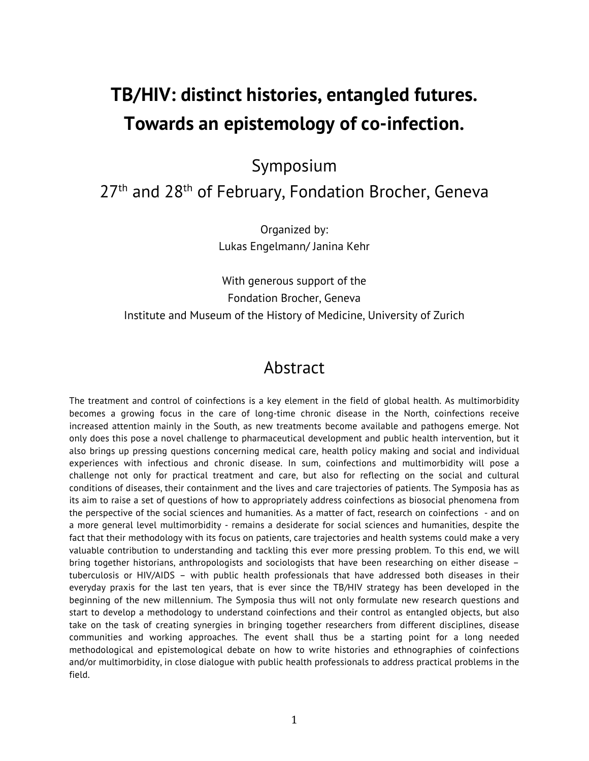# **TB/HIV: distinct histories, entangled futures. Towards an epistemology of co-infection.**

Symposium

## 27<sup>th</sup> and 28<sup>th</sup> of February, Fondation Brocher, Geneva

Organized by: Lukas Engelmann/ Janina Kehr

With generous support of the Fondation Brocher, Geneva Institute and Museum of the History of Medicine, University of Zurich

## Abstract

The treatment and control of coinfections is a key element in the field of global health. As multimorbidity becomes a growing focus in the care of long-time chronic disease in the North, coinfections receive increased attention mainly in the South, as new treatments become available and pathogens emerge. Not only does this pose a novel challenge to pharmaceutical development and public health intervention, but it also brings up pressing questions concerning medical care, health policy making and social and individual experiences with infectious and chronic disease. In sum, coinfections and multimorbidity will pose a challenge not only for practical treatment and care, but also for reflecting on the social and cultural conditions of diseases, their containment and the lives and care trajectories of patients. The Symposia has as its aim to raise a set of questions of how to appropriately address coinfections as biosocial phenomena from the perspective of the social sciences and humanities. As a matter of fact, research on coinfections - and on a more general level multimorbidity - remains a desiderate for social sciences and humanities, despite the fact that their methodology with its focus on patients, care trajectories and health systems could make a very valuable contribution to understanding and tackling this ever more pressing problem. To this end, we will bring together historians, anthropologists and sociologists that have been researching on either disease – tuberculosis or HIV/AIDS – with public health professionals that have addressed both diseases in their everyday praxis for the last ten years, that is ever since the TB/HIV strategy has been developed in the beginning of the new millennium. The Symposia thus will not only formulate new research questions and start to develop a methodology to understand coinfections and their control as entangled objects, but also take on the task of creating synergies in bringing together researchers from different disciplines, disease communities and working approaches. The event shall thus be a starting point for a long needed methodological and epistemological debate on how to write histories and ethnographies of coinfections and/or multimorbidity, in close dialogue with public health professionals to address practical problems in the field.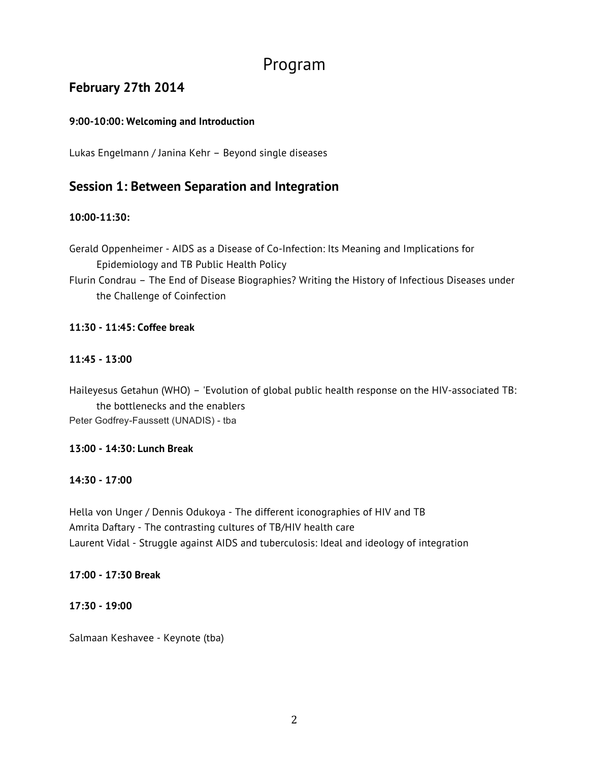## Program

## **February 27th 2014**

#### **9:00-10:00: Welcoming and Introduction**

Lukas Engelmann / Janina Kehr – Beyond single diseases

## **Session 1: Between Separation and Integration**

#### **10:00-11:30:**

Gerald Oppenheimer - AIDS as a Disease of Co-Infection: Its Meaning and Implications for Epidemiology and TB Public Health Policy

Flurin Condrau – The End of Disease Biographies? Writing the History of Infectious Diseases under the Challenge of Coinfection

#### **11:30 - 11:45: Coffee break**

#### **11:45 - 13:00**

Haileyesus Getahun (WHO) – 'Evolution of global public health response on the HIV-associated TB: the bottlenecks and the enablers Peter Godfrey-Faussett (UNADIS) - tba

#### **13:00 - 14:30: Lunch Break**

#### **14:30 - 17:00**

Hella von Unger / Dennis Odukoya - The different iconographies of HIV and TB Amrita Daftary - The contrasting cultures of TB/HIV health care Laurent Vidal - Struggle against AIDS and tuberculosis: Ideal and ideology of integration

#### **17:00 - 17:30 Break**

#### **17:30 - 19:00**

Salmaan Keshavee - Keynote (tba)